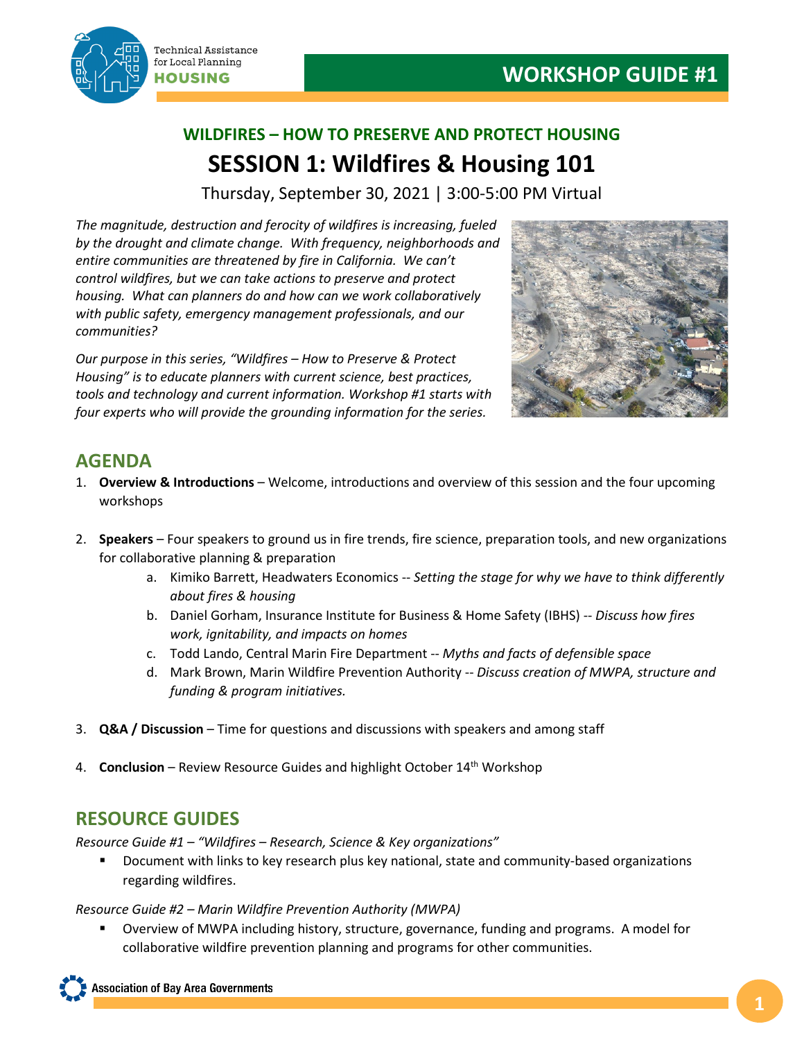

# **WILDFIRES – HOW TO PRESERVE AND PROTECT HOUSING SESSION 1: Wildfires & Housing 101**

Thursday, September 30, 2021 | 3:00-5:00 PM Virtual

*The magnitude, destruction and ferocity of wildfires is increasing, fueled by the drought and climate change. With frequency, neighborhoods and entire communities are threatened by fire in California. We can't control wildfires, but we can take actions to preserve and protect housing. What can planners do and how can we work collaboratively with public safety, emergency management professionals, and our communities?*

*Our purpose in this series, "Wildfires – How to Preserve & Protect Housing" is to educate planners with current science, best practices, tools and technology and current information. Workshop #1 starts with four experts who will provide the grounding information for the series.*



## **AGENDA**

- 1. **Overview & Introductions** Welcome, introductions and overview of this session and the four upcoming workshops
- 2. **Speakers** Four speakers to ground us in fire trends, fire science, preparation tools, and new organizations for collaborative planning & preparation
	- a. Kimiko Barrett, Headwaters Economics -- *Setting the stage for why we have to think differently about fires & housing*
	- b. Daniel Gorham, Insurance Institute for Business & Home Safety (IBHS) -- *Discuss how fires work, ignitability, and impacts on homes*
	- c. Todd Lando, Central Marin Fire Department -- *Myths and facts of defensible space*
	- d. Mark Brown, Marin Wildfire Prevention Authority -- *Discuss creation of MWPA, structure and funding & program initiatives.*
- 3. **Q&A / Discussion**  Time for questions and discussions with speakers and among staff
- 4. **Conclusion** Review Resource Guides and highlight October 14<sup>th</sup> Workshop

## **RESOURCE GUIDES**

*Resource Guide #1 – "Wildfires – Research, Science & Key organizations"*

 Document with links to key research plus key national, state and community-based organizations regarding wildfires.

*Resource Guide #2 – Marin Wildfire Prevention Authority (MWPA)*

 Overview of MWPA including history, structure, governance, funding and programs. A model for collaborative wildfire prevention planning and programs for other communities.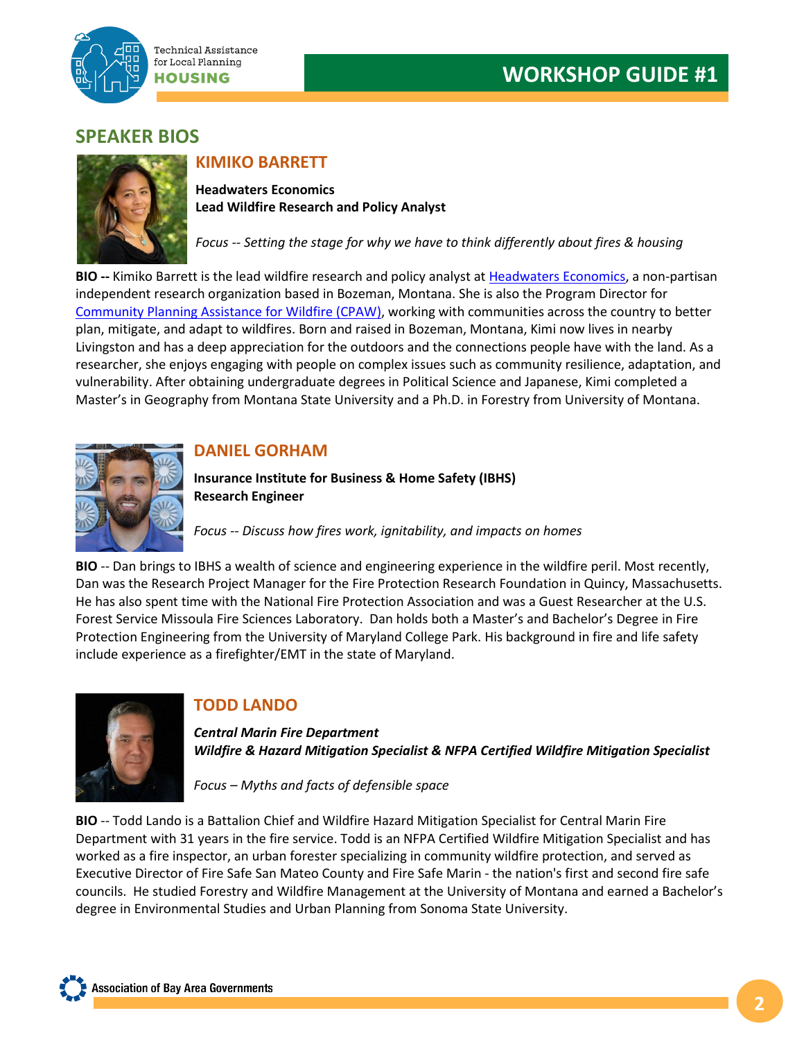

### **SPEAKER BIOS**



## **KIMIKO BARRETT**

**Headwaters Economics Lead Wildfire Research and Policy Analyst**

*Focus -- Setting the stage for why we have to think differently about fires & housing*

**BIO --** Kimiko Barrett is the lead wildfire research and policy analyst at [Headwaters Economics,](https://na01.safelinks.protection.outlook.com/?url=https%3A%2F%2Fheadwaterseconomics.org%2F&data=04%7C01%7C%7C77c982b90ec649e1535c08d9680f8f17%7C84df9e7fe9f640afb435aaaaaaaaaaaa%7C1%7C0%7C637655238321244679%7CUnknown%7CTWFpbGZsb3d8eyJWIjoiMC4wLjAwMDAiLCJQIjoiV2luMzIiLCJBTiI6Ik1haWwiLCJXVCI6Mn0%3D%7C1000&sdata=gi7If6viRtkrhBqe1K8PbVp4XlwUJJJm62OhzZNvcPM%3D&reserved=0) a non-partisan independent research organization based in Bozeman, Montana. She is also the Program Director for [Community Planning Assistance](https://na01.safelinks.protection.outlook.com/?url=https%3A%2F%2Fcpaw.headwaterseconomics.org%2F&data=04%7C01%7C%7C77c982b90ec649e1535c08d9680f8f17%7C84df9e7fe9f640afb435aaaaaaaaaaaa%7C1%7C0%7C637655238321244679%7CUnknown%7CTWFpbGZsb3d8eyJWIjoiMC4wLjAwMDAiLCJQIjoiV2luMzIiLCJBTiI6Ik1haWwiLCJXVCI6Mn0%3D%7C1000&sdata=9gD%2FyhTsMLcFYIFQAId1GliYj0rqctbTcegsTTAiznA%3D&reserved=0) for Wildfire (CPAW), working with communities across the country to better plan, mitigate, and adapt to wildfires. Born and raised in Bozeman, Montana, Kimi now lives in nearby Livingston and has a deep appreciation for the outdoors and the connections people have with the land. As a researcher, she enjoys engaging with people on complex issues such as community resilience, adaptation, and vulnerability. After obtaining undergraduate degrees in Political Science and Japanese, Kimi completed a Master's in Geography from Montana State University and a Ph.D. in Forestry from University of Montana.



#### **DANIEL GORHAM**

**Insurance Institute for Business & Home Safety (IBHS) Research Engineer**

*Focus -- Discuss how fires work, ignitability, and impacts on homes* 

**BIO** -- Dan brings to IBHS a wealth of science and engineering experience in the wildfire peril. Most recently, Dan was the Research Project Manager for the Fire Protection Research Foundation in Quincy, Massachusetts. He has also spent time with the National Fire Protection Association and was a Guest Researcher at the U.S. Forest Service Missoula Fire Sciences Laboratory. Dan holds both a Master's and Bachelor's Degree in Fire Protection Engineering from the University of Maryland College Park. His background in fire and life safety include experience as a firefighter/EMT in the state of Maryland.



#### **TODD LANDO**

*Central Marin Fire Department Wildfire & Hazard Mitigation Specialist & NFPA Certified Wildfire Mitigation Specialist*

*Focus – Myths and facts of defensible space* 

**BIO** -- Todd Lando is a Battalion Chief and Wildfire Hazard Mitigation Specialist for Central Marin Fire Department with 31 years in the fire service. Todd is an NFPA Certified Wildfire Mitigation Specialist and has worked as a fire inspector, an urban forester specializing in community wildfire protection, and served as Executive Director of Fire Safe San Mateo County and Fire Safe Marin - the nation's first and second fire safe councils. He studied Forestry and Wildfire Management at the University of Montana and earned a Bachelor's degree in Environmental Studies and Urban Planning from Sonoma State University.